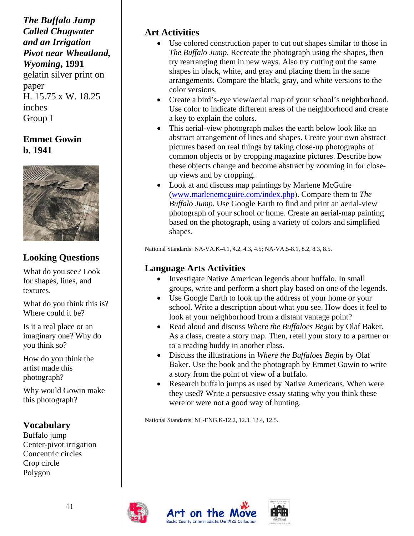*The Buffalo Jump Called Chugwater and an Irrigation Pivot near Wheatland, Wyoming***, 1991** gelatin silver print on paper H. 15.75 x W. 18.25 inches Group I

### **Emmet Gowin b. 1941**



# **Looking Questions**

What do you see? Look for shapes, lines, and textures.

What do you think this is? Where could it be?

Is it a real place or an imaginary one? Why do you think so?

How do you think the artist made this photograph?

Why would Gowin make this photograph?

### **Vocabulary**

Buffalo jump Center-pivot irrigation Concentric circles Crop circle Polygon

#### **Art Activities**

- Use colored construction paper to cut out shapes similar to those in *The Buffalo Jump*. Recreate the photograph using the shapes, then try rearranging them in new ways. Also try cutting out the same shapes in black, white, and gray and placing them in the same arrangements. Compare the black, gray, and white versions to the color versions.
- Create a bird's-eye view/aerial map of your school's neighborhood. Use color to indicate different areas of the neighborhood and create a key to explain the colors.
- This aerial-view photograph makes the earth below look like an abstract arrangement of lines and shapes. Create your own abstract pictures based on real things by taking close-up photographs of common objects or by cropping magazine pictures. Describe how these objects change and become abstract by zooming in for closeup views and by cropping.
- Look at and discuss map paintings by Marlene McGuire [\(www.marlenemcguire.com/index.php\)](http://www.marlenemcguire.com/index.php). Compare them to *The Buffalo Jump.* Use Google Earth to find and print an aerial-view photograph of your school or home. Create an aerial-map painting based on the photograph, using a variety of colors and simplified shapes.

National Standards: NA-VA.K-4.1, 4.2, 4.3, 4.5; NA-VA.5-8.1, 8.2, 8.3, 8.5.

#### **Language Arts Activities**

- Investigate Native American legends about buffalo. In small groups, write and perform a short play based on one of the legends.
- Use Google Earth to look up the address of your home or your school. Write a description about what you see. How does it feel to look at your neighborhood from a distant vantage point?
- Read aloud and discuss *Where the Buffaloes Begin* by Olaf Baker. As a class, create a story map. Then, retell your story to a partner or to a reading buddy in another class.
- Discuss the illustrations in *Where the Buffaloes Begin* by Olaf Baker. Use the book and the photograph by Emmet Gowin to write a story from the point of view of a buffalo.
- Research buffalo jumps as used by Native Americans. When were they used? Write a persuasive essay stating why you think these were or were not a good way of hunting.

National Standards: NL-ENG.K-12.2, 12.3, 12.4, 12.5.